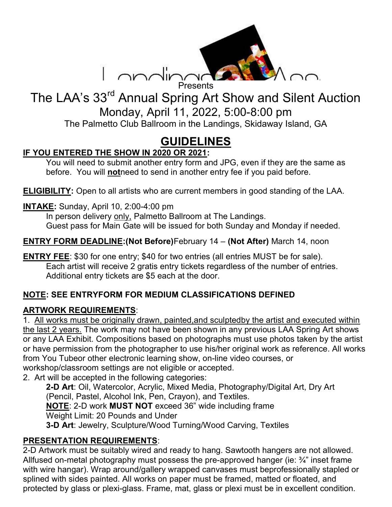

# The LAA's 33<sup>rd</sup> Annual Spring Art Show and Silent Auction Monday, April 11, 2022, 5:00-8:00 pm The Palmetto Club Ballroom in the Landings, Skidaway Island, GA

# GUIDELINES

# IF YOU ENTERED THE SHOW IN 2020 OR 2021:

You will need to submit another entry form and JPG, even if they are the same as before. You will notheed to send in another entry fee if you paid before.

ELIGIBILITY: Open to all artists who are current members in good standing of the LAA.

INTAKE: Sunday, April 10, 2:00-4:00 pm

 In person delivery only, Palmetto Ballroom at The Landings. Guest pass for Main Gate will be issued for both Sunday and Monday if needed.

ENTRY FORM DEADLINE:(Not Before)February 14 – (Not After) March 14, noon

ENTRY FEE: \$30 for one entry; \$40 for two entries (all entries MUST be for sale). Each artist will receive 2 gratis entry tickets regardless of the number of entries. Additional entry tickets are \$5 each at the door.

## NOTE: SEE ENTRYFORM FOR MEDIUM CLASSIFICATIONS DEFINED

#### ARTWORK REQUIREMENTS:

1. All works must be originally drawn, painted,and sculptedby the artist and executed within the last 2 years. The work may not have been shown in any previous LAA Spring Art shows or any LAA Exhibit. Compositions based on photographs must use photos taken by the artist or have permission from the photographer to use his/her original work as reference. All works from You Tubeor other electronic learning show, on-line video courses, or workshop/classroom settings are not eligible or accepted.

2. Art will be accepted in the following categories:

2-D Art: Oil, Watercolor, Acrylic, Mixed Media, Photography/Digital Art, Dry Art (Pencil, Pastel, Alcohol Ink, Pen, Crayon), and Textiles. NOTE: 2-D work MUST NOT exceed 36" wide including frame Weight Limit: 20 Pounds and Under

3-D Art: Jewelry, Sculpture/Wood Turning/Wood Carving, Textiles

#### PRESENTATION REQUIREMENTS:

2-D Artwork must be suitably wired and ready to hang. Sawtooth hangers are not allowed. Allfused on-metal photography must possess the pre-approved hanger (ie: ¾" inset frame with wire hangar). Wrap around/gallery wrapped canvases must beprofessionally stapled or splined with sides painted. All works on paper must be framed, matted or floated, and protected by glass or plexi-glass. Frame, mat, glass or plexi must be in excellent condition.